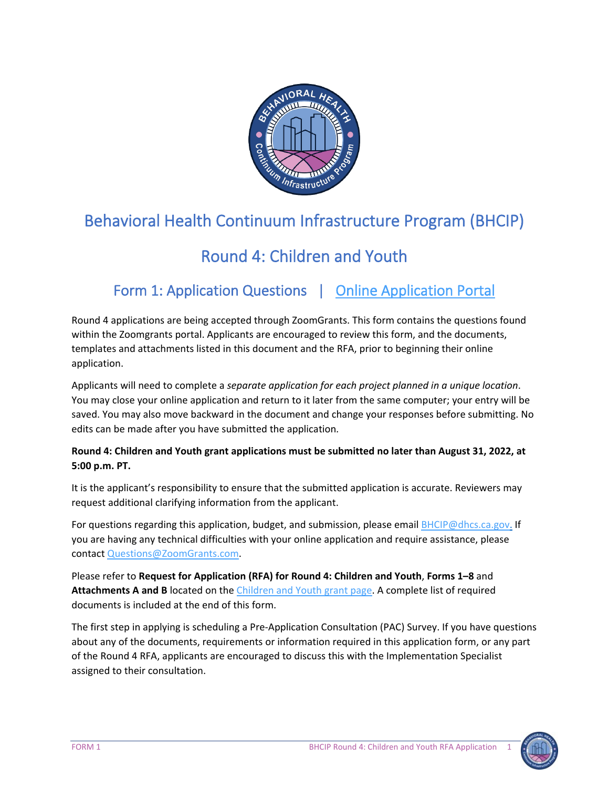

# Behavioral Health Continuum Infrastructure Program (BHCIP)

# Round 4: Children and Youth

# Form 1: Application Questions | [Online Application Portal](https://www.zoomgrants.com/gprop.asp?donorid=2408&limited=4065)

Round 4 applications are being accepted through ZoomGrants. This form contains the questions found within the Zoomgrants portal. Applicants are encouraged to review this form, and the documents, templates and attachments listed in this document and the RFA, prior to beginning their online application.

Applicants will need to complete a *separate application for each project planned in a unique location*. You may close your online application and return to it later from the same computer; your entry will be saved. You may also move backward in the document and change your responses before submitting. No edits can be made after you have submitted the application*.* 

#### **Round 4: Children and Youth grant applications must be submitted no later than August 31, 2022, at 5:00 p.m. PT.**

It is the applicant's responsibility to ensure that the submitted application is accurate. Reviewers may request additional clarifying information from the applicant.

For questions regarding this application, budget, and submission, please emai[l BHCIP@dhcs.ca.gov.](mailto:BHCIP@dhcs.ca.gov) If you are having any technical difficulties with your online application and require assistance, please contact [Questions@ZoomGrants.com.](mailto:Questions@ZoomGrants.com) 

Please refer to **Request for Application (RFA) for Round 4: Children and Youth**, **Forms 1–8** and **Attachments A and B** located on the [Children and Youth grant page.](https://www.infrastructure.buildingcalhhs.com/grantees/cy/) A complete list of required documents is included at the end of this form.

The first step in applying is scheduling a Pre-Application Consultation (PAC) Survey. If you have questions about any of the documents, requirements or information required in this application form, or any part of the Round 4 RFA, applicants are encouraged to discuss this with the Implementation Specialist assigned to their consultation.

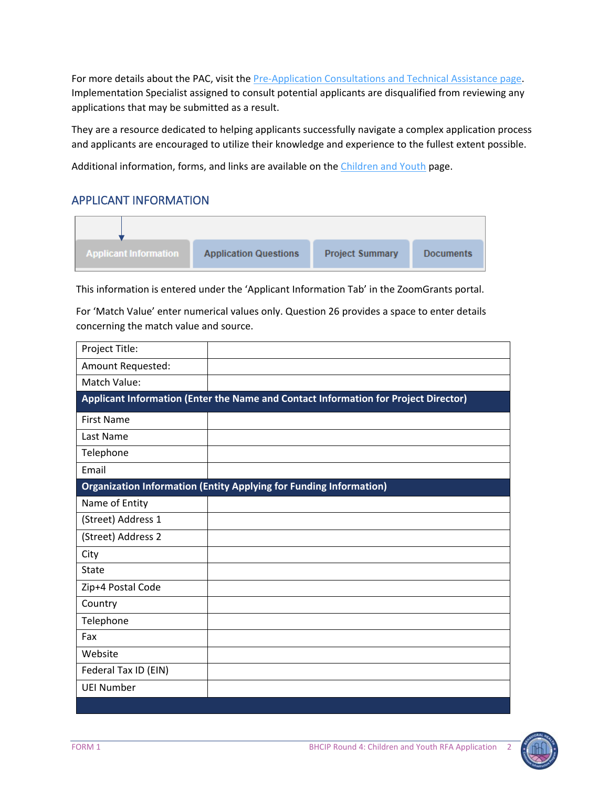For more details about the PAC, visit the [Pre-Application Consultations and Technical Assistance page.](https://www.infrastructure.buildingcalhhs.com/training-and-technical-assistance/) Implementation Specialist assigned to consult potential applicants are disqualified from reviewing any applications that may be submitted as a result.

They are a resource dedicated to helping applicants successfully navigate a complex application process and applicants are encouraged to utilize their knowledge and experience to the fullest extent possible.

Additional information, forms, and links are available on the [Children and Youth](https://www.infrastructure.buildingcalhhs.com/grantees/cy/) page.

#### APPLICANT INFORMATION



This information is entered under the 'Applicant Information Tab' in the ZoomGrants portal.

For 'Match Value' enter numerical values only. Question 26 provides a space to enter details concerning the match value and source.

| Project Title:       |                                                                                     |
|----------------------|-------------------------------------------------------------------------------------|
| Amount Requested:    |                                                                                     |
| Match Value:         |                                                                                     |
|                      | Applicant Information (Enter the Name and Contact Information for Project Director) |
| <b>First Name</b>    |                                                                                     |
| Last Name            |                                                                                     |
| Telephone            |                                                                                     |
| Email                |                                                                                     |
|                      | <b>Organization Information (Entity Applying for Funding Information)</b>           |
| Name of Entity       |                                                                                     |
| (Street) Address 1   |                                                                                     |
| (Street) Address 2   |                                                                                     |
| City                 |                                                                                     |
| <b>State</b>         |                                                                                     |
| Zip+4 Postal Code    |                                                                                     |
| Country              |                                                                                     |
| Telephone            |                                                                                     |
| Fax                  |                                                                                     |
| Website              |                                                                                     |
| Federal Tax ID (EIN) |                                                                                     |
| <b>UEI Number</b>    |                                                                                     |
|                      |                                                                                     |

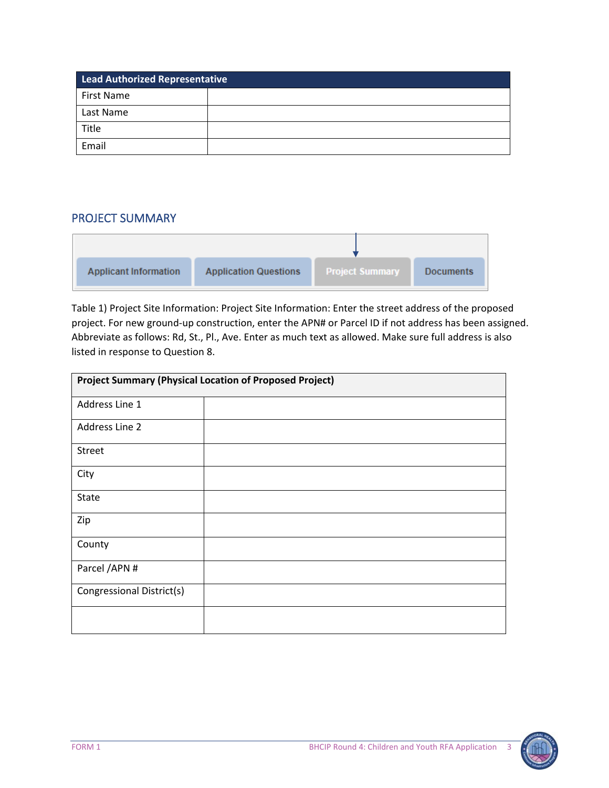| Lead Authorized Representative |  |  |
|--------------------------------|--|--|
| First Name                     |  |  |
| Last Name                      |  |  |
| Title                          |  |  |
| Email                          |  |  |

#### PROJECT SUMMARY

| <b>Applicant Information</b> | <b>Application Questions</b> | <b>Project Summary</b> | <b>Documents</b> |
|------------------------------|------------------------------|------------------------|------------------|

Table 1) Project Site Information: Project Site Information: Enter the street address of the proposed project. For new ground-up construction, enter the APN# or Parcel ID if not address has been assigned. Abbreviate as follows: Rd, St., Pl., Ave. Enter as much text as allowed. Make sure full address is also listed in response to Question 8.

| <b>Project Summary (Physical Location of Proposed Project)</b> |  |  |
|----------------------------------------------------------------|--|--|
| Address Line 1                                                 |  |  |
| Address Line 2                                                 |  |  |
| <b>Street</b>                                                  |  |  |
| City                                                           |  |  |
| <b>State</b>                                                   |  |  |
| Zip                                                            |  |  |
| County                                                         |  |  |
| Parcel / APN #                                                 |  |  |
| Congressional District(s)                                      |  |  |
|                                                                |  |  |

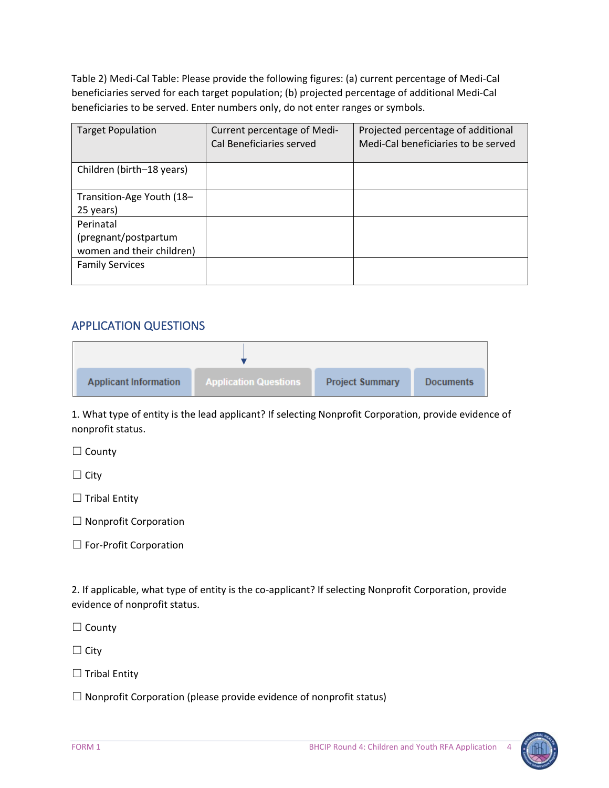Table 2) Medi-Cal Table: Please provide the following figures: (a) current percentage of Medi-Cal beneficiaries served for each target population; (b) projected percentage of additional Medi-Cal beneficiaries to be served. Enter numbers only, do not enter ranges or symbols.

| <b>Target Population</b>                                       | Current percentage of Medi-<br>Cal Beneficiaries served | Projected percentage of additional<br>Medi-Cal beneficiaries to be served |
|----------------------------------------------------------------|---------------------------------------------------------|---------------------------------------------------------------------------|
| Children (birth-18 years)                                      |                                                         |                                                                           |
| Transition-Age Youth (18-<br>25 years)                         |                                                         |                                                                           |
| Perinatal<br>(pregnant/postpartum<br>women and their children) |                                                         |                                                                           |
| <b>Family Services</b>                                         |                                                         |                                                                           |

### APPLICATION QUESTIONS

| <b>Applicant Information</b> | <b>Application Questions</b> | <b>Project Summary</b> | <b>Documents</b> |
|------------------------------|------------------------------|------------------------|------------------|

1. What type of entity is the lead applicant? If selecting Nonprofit Corporation, provide evidence of nonprofit status.

□ County

☐ City

 $\Box$  Tribal Entity

☐ Nonprofit Corporation

□ For-Profit Corporation

2. If applicable, what type of entity is the co-applicant? If selecting Nonprofit Corporation, provide evidence of nonprofit status.

□ County

☐ City

 $\Box$  Tribal Entity

 $\Box$  Nonprofit Corporation (please provide evidence of nonprofit status)

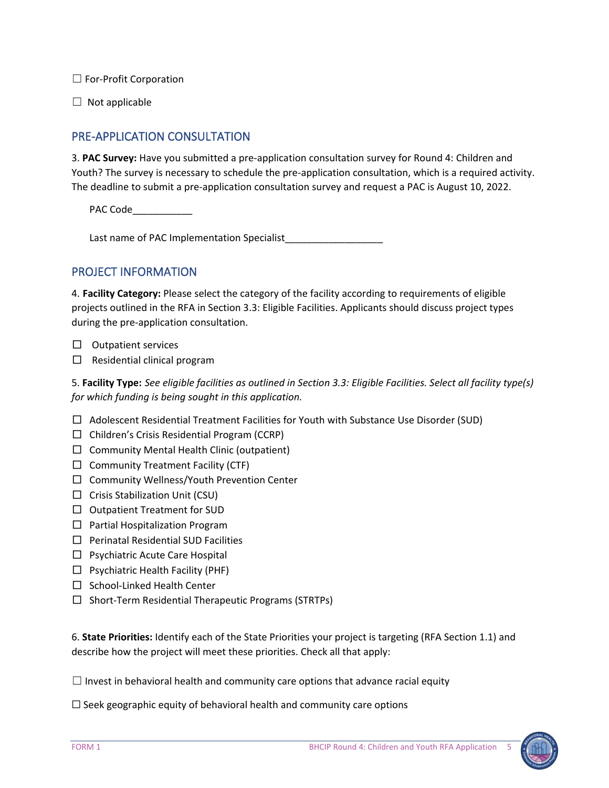□ For-Profit Corporation

 $\Box$  Not applicable

# PRE-APPLICATION CONSULTATION

3. **PAC Survey:** Have you submitted a pre-application consultation survey for Round 4: Children and Youth? The survey is necessary to schedule the pre-application consultation, which is a required activity. The deadline to submit a pre-application consultation survey and request a PAC is August 10, 2022.

PAC Code\_\_\_\_\_\_\_\_\_\_\_

Last name of PAC Implementation Specialist

#### PROJECT INFORMATION

4. **Facility Category:** Please select the category of the facility according to requirements of eligible projects outlined in the RFA in Section 3.3: Eligible Facilities. Applicants should discuss project types during the pre-application consultation.

- $\Box$  Outpatient services
- $\Box$  Residential clinical program

5. **Facility Type:** *See eligible facilities as outlined in Section 3.3: Eligible Facilities. Select all facility type(s) for which funding is being sought in this application.*

- $\Box$  Adolescent Residential Treatment Facilities for Youth with Substance Use Disorder (SUD)
- $\Box$  Children's Crisis Residential Program (CCRP)
- $\Box$  Community Mental Health Clinic (outpatient)
- $\Box$  Community Treatment Facility (CTF)
- $\Box$  Community Wellness/Youth Prevention Center
- $\Box$  Crisis Stabilization Unit (CSU)
- $\Box$  Outpatient Treatment for SUD
- $\Box$  Partial Hospitalization Program
- $\Box$  Perinatal Residential SUD Facilities
- $\Box$  Psychiatric Acute Care Hospital
- $\Box$  Psychiatric Health Facility (PHF)
- $\Box$  School-Linked Health Center
- $\Box$  Short-Term Residential Therapeutic Programs (STRTPs)

6. **State Priorities:** Identify each of the State Priorities your project is targeting (RFA Section 1.1) and describe how the project will meet these priorities. Check all that apply:

 $\Box$  Invest in behavioral health and community care options that advance racial equity

 $\Box$  Seek geographic equity of behavioral health and community care options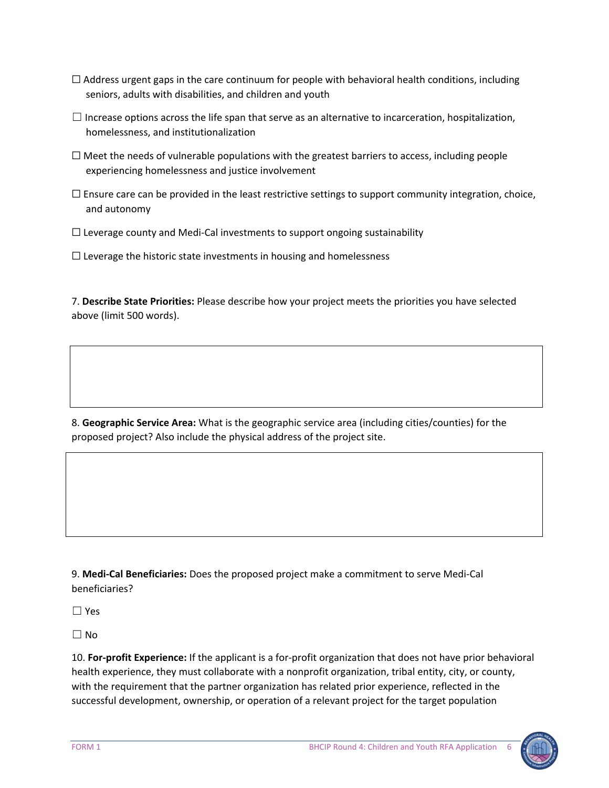- $\Box$  Address urgent gaps in the care continuum for people with behavioral health conditions, including seniors, adults with disabilities, and children and youth
- $\Box$  Increase options across the life span that serve as an alternative to incarceration, hospitalization, homelessness, and institutionalization
- $\Box$  Meet the needs of vulnerable populations with the greatest barriers to access, including people experiencing homelessness and justice involvement
- $\Box$  Ensure care can be provided in the least restrictive settings to support community integration, choice, and autonomy
- $\Box$  Leverage county and Medi-Cal investments to support ongoing sustainability

 $\Box$  Leverage the historic state investments in housing and homelessness

7. **Describe State Priorities:** Please describe how your project meets the priorities you have selected above (limit 500 words).

8. **Geographic Service Area:** What is the geographic service area (including cities/counties) for the proposed project? Also include the physical address of the project site.

9. **Medi-Cal Beneficiaries:** Does the proposed project make a commitment to serve Medi-Cal beneficiaries?

☐ Yes

☐ No

10. **For-profit Experience:** If the applicant is a for-profit organization that does not have prior behavioral health experience, they must collaborate with a nonprofit organization, tribal entity, city, or county, with the requirement that the partner organization has related prior experience, reflected in the successful development, ownership, or operation of a relevant project for the target population

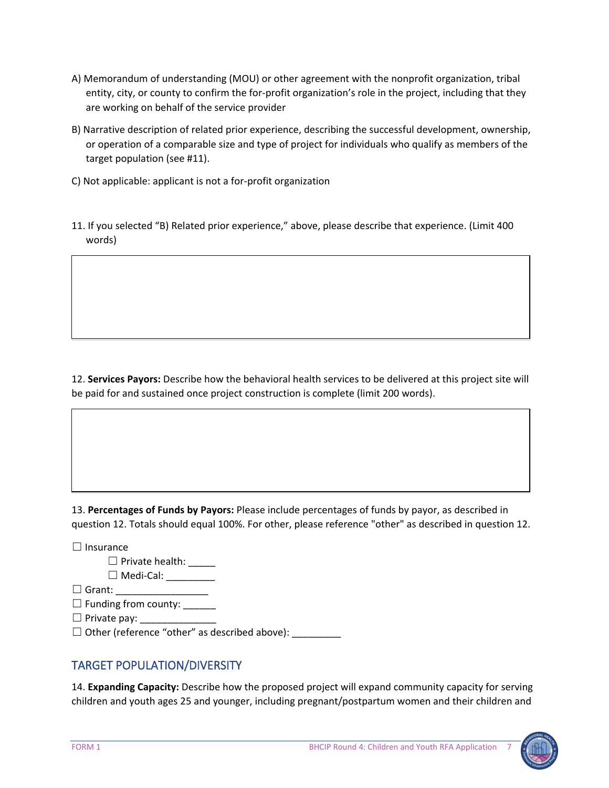- A) Memorandum of understanding (MOU) or other agreement with the nonprofit organization, tribal entity, city, or county to confirm the for-profit organization's role in the project, including that they are working on behalf of the service provider
- B) Narrative description of related prior experience, describing the successful development, ownership, or operation of a comparable size and type of project for individuals who qualify as members of the target population (see #11).
- C) Not applicable: applicant is not a for-profit organization
- 11. If you selected "B) Related prior experience," above, please describe that experience. (Limit 400 words)

12. **Services Payors:** Describe how the behavioral health services to be delivered at this project site will be paid for and sustained once project construction is complete (limit 200 words).

13. **Percentages of Funds by Payors:** Please include percentages of funds by payor, as described in question 12. Totals should equal 100%. For other, please reference "other" as described in question 12.

☐ Insurance

□ Private health: \_\_\_\_\_

☐ Medi-Cal: \_\_\_\_\_\_\_\_\_

 $\Box$  Grant:

 $\Box$  Funding from county:

 $\Box$  Private pay:

 $\Box$  Other (reference "other" as described above):

### TARGET POPULATION/DIVERSITY

14. **Expanding Capacity:** Describe how the proposed project will expand community capacity for serving children and youth ages 25 and younger, including pregnant/postpartum women and their children and

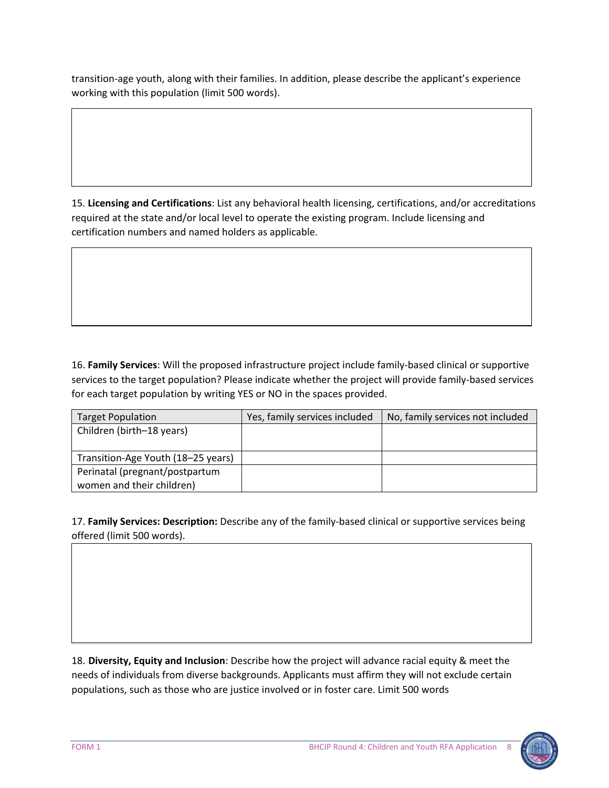transition-age youth, along with their families. In addition, please describe the applicant's experience working with this population (limit 500 words).

15. **Licensing and Certifications**: List any behavioral health licensing, certifications, and/or accreditations required at the state and/or local level to operate the existing program. Include licensing and certification numbers and named holders as applicable.

16. **Family Services**: Will the proposed infrastructure project include family-based clinical or supportive services to the target population? Please indicate whether the project will provide family-based services for each target population by writing YES or NO in the spaces provided.

| <b>Target Population</b>           | Yes, family services included | No, family services not included |
|------------------------------------|-------------------------------|----------------------------------|
| Children (birth-18 years)          |                               |                                  |
|                                    |                               |                                  |
| Transition-Age Youth (18-25 years) |                               |                                  |
| Perinatal (pregnant/postpartum     |                               |                                  |
| women and their children)          |                               |                                  |

17. **Family Services: Description:** Describe any of the family-based clinical or supportive services being offered (limit 500 words).

18. **Diversity, Equity and Inclusion**: Describe how the project will advance racial equity & meet the needs of individuals from diverse backgrounds. Applicants must affirm they will not exclude certain populations, such as those who are justice involved or in foster care. Limit 500 words

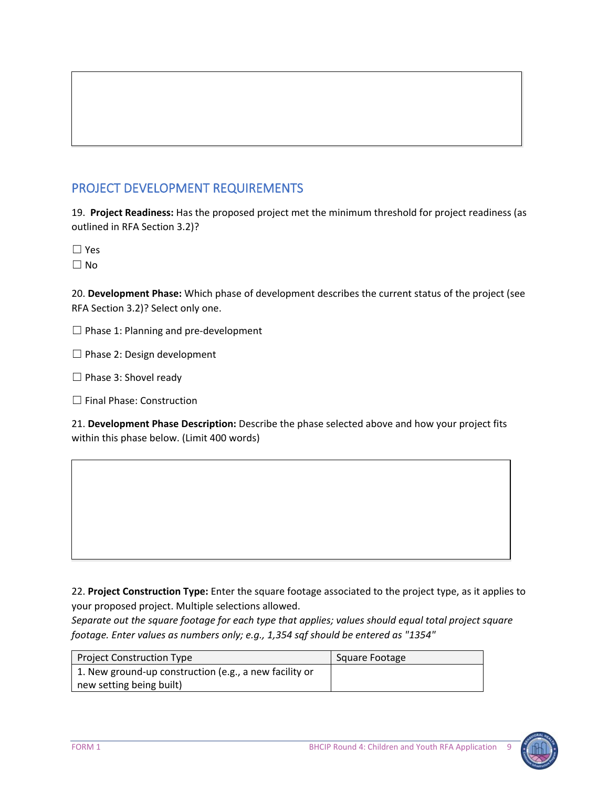# PROJECT DEVELOPMENT REQUIREMENTS

19. **Project Readiness:** Has the proposed project met the minimum threshold for project readiness (as outlined in RFA Section 3.2)?

☐ Yes

 $\Box$  No

20. **Development Phase:** Which phase of development describes the current status of the project (see RFA Section 3.2)? Select only one.

 $\Box$  Phase 1: Planning and pre-development

 $\Box$  Phase 2: Design development

□ Phase 3: Shovel ready

☐ Final Phase: Construction

21. **Development Phase Description:** Describe the phase selected above and how your project fits within this phase below. (Limit 400 words)

22. **Project Construction Type:** Enter the square footage associated to the project type, as it applies to your proposed project. Multiple selections allowed.

*Separate out the square footage for each type that applies; values should equal total project square footage. Enter values as numbers only; e.g., 1,354 sqf should be entered as "1354"*

| Project Construction Type                              | Square Footage |
|--------------------------------------------------------|----------------|
| 1. New ground-up construction (e.g., a new facility or |                |
| new setting being built)                               |                |

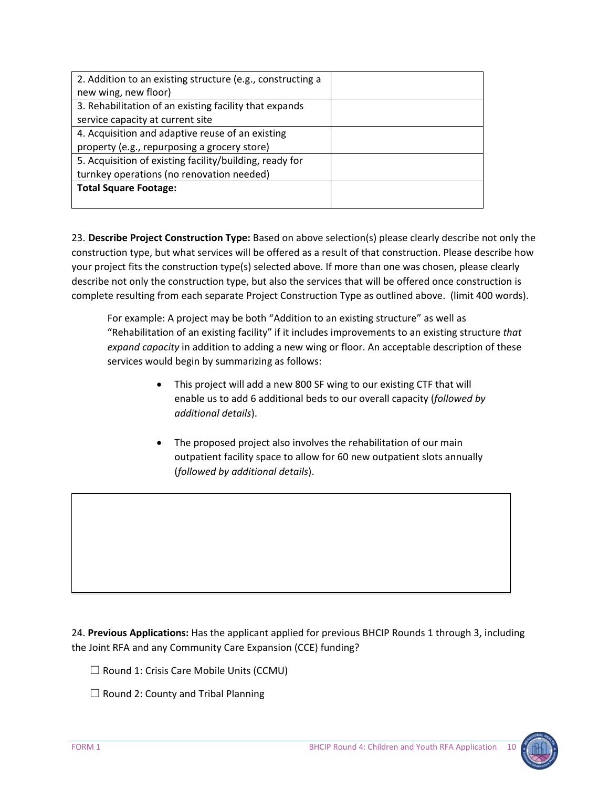| 2. Addition to an existing structure (e.g., constructing a |  |
|------------------------------------------------------------|--|
| new wing, new floor)                                       |  |
| 3. Rehabilitation of an existing facility that expands     |  |
| service capacity at current site                           |  |
| 4. Acquisition and adaptive reuse of an existing           |  |
| property (e.g., repurposing a grocery store)               |  |
| 5. Acquisition of existing facility/building, ready for    |  |
| turnkey operations (no renovation needed)                  |  |
| <b>Total Square Footage:</b>                               |  |
|                                                            |  |

23. **Describe Project Construction Type:** Based on above selection(s) please clearly describe not only the construction type, but what services will be offered as a result of that construction. Please describe how your project fits the construction type(s) selected above. If more than one was chosen, please clearly describe not only the construction type, but also the services that will be offered once construction is complete resulting from each separate Project Construction Type as outlined above. (limit 400 words).

For example: A project may be both "Addition to an existing structure" as well as "Rehabilitation of an existing facility" if it includes improvements to an existing structure *that expand capacity* in addition to adding a new wing or floor. An acceptable description of these services would begin by summarizing as follows:

- This project will add a new 800 SF wing to our existing CTF that will enable us to add 6 additional beds to our overall capacity (*followed by additional details*).
- The proposed project also involves the rehabilitation of our main outpatient facility space to allow for 60 new outpatient slots annually (*followed by additional details*).

24. **Previous Applications:** Has the applicant applied for previous BHCIP Rounds 1 through 3, including the Joint RFA and any Community Care Expansion (CCE) funding?

 $\Box$  Round 1: Crisis Care Mobile Units (CCMU)

 $\Box$  Round 2: County and Tribal Planning

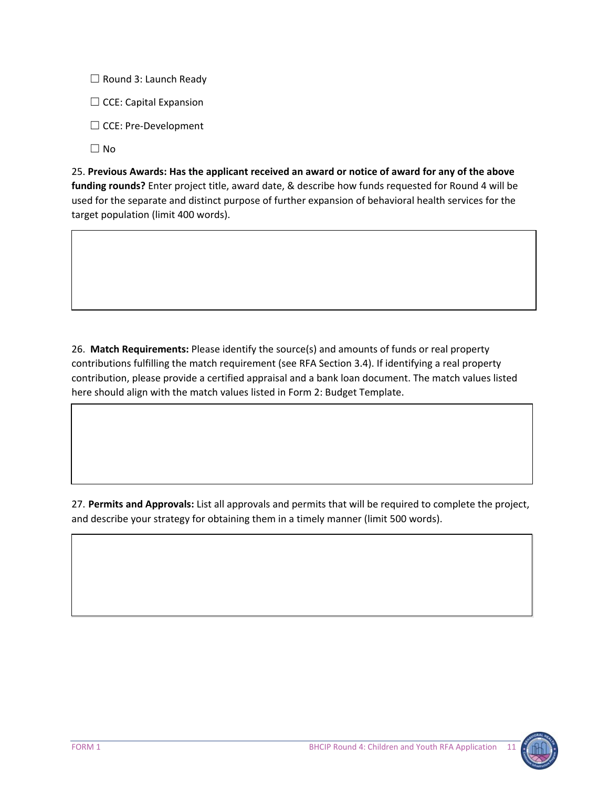$\Box$  Round 3: Launch Ready

 $\Box$  CCE: Capital Expansion

☐ CCE: Pre-Development

☐ No

25. **Previous Awards: Has the applicant received an award or notice of award for any of the above funding rounds?** Enter project title, award date, & describe how funds requested for Round 4 will be used for the separate and distinct purpose of further expansion of behavioral health services for the target population (limit 400 words).

26. **Match Requirements:** Please identify the source(s) and amounts of funds or real property contributions fulfilling the match requirement (see RFA Section 3.4). If identifying a real property contribution, please provide a certified appraisal and a bank loan document. The match values listed here should align with the match values listed in Form 2: Budget Template.

27. **Permits and Approvals:** List all approvals and permits that will be required to complete the project, and describe your strategy for obtaining them in a timely manner (limit 500 words).

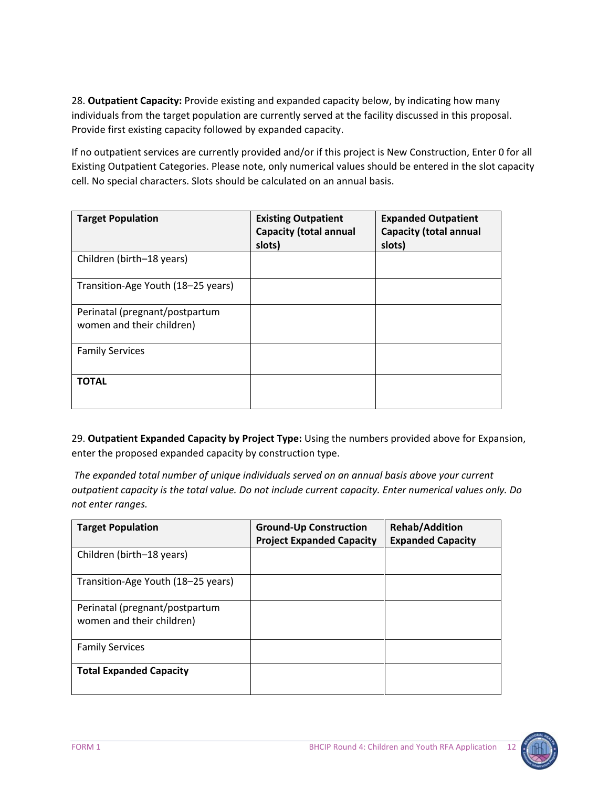28. **Outpatient Capacity:** Provide existing and expanded capacity below, by indicating how many individuals from the target population are currently served at the facility discussed in this proposal. Provide first existing capacity followed by expanded capacity.

If no outpatient services are currently provided and/or if this project is New Construction, Enter 0 for all Existing Outpatient Categories. Please note, only numerical values should be entered in the slot capacity cell. No special characters. Slots should be calculated on an annual basis.

| <b>Target Population</b>                                    | <b>Existing Outpatient</b><br><b>Capacity (total annual</b><br>slots) | <b>Expanded Outpatient</b><br><b>Capacity (total annual</b><br>slots) |
|-------------------------------------------------------------|-----------------------------------------------------------------------|-----------------------------------------------------------------------|
| Children (birth-18 years)                                   |                                                                       |                                                                       |
| Transition-Age Youth (18-25 years)                          |                                                                       |                                                                       |
| Perinatal (pregnant/postpartum<br>women and their children) |                                                                       |                                                                       |
| <b>Family Services</b>                                      |                                                                       |                                                                       |
| <b>TOTAL</b>                                                |                                                                       |                                                                       |

29. **Outpatient Expanded Capacity by Project Type:** Using the numbers provided above for Expansion, enter the proposed expanded capacity by construction type.

*The expanded total number of unique individuals served on an annual basis above your current outpatient capacity is the total value. Do not include current capacity. Enter numerical values only. Do not enter ranges.*

| <b>Target Population</b>                                    | <b>Ground-Up Construction</b><br><b>Project Expanded Capacity</b> | <b>Rehab/Addition</b><br><b>Expanded Capacity</b> |
|-------------------------------------------------------------|-------------------------------------------------------------------|---------------------------------------------------|
| Children (birth-18 years)                                   |                                                                   |                                                   |
| Transition-Age Youth (18–25 years)                          |                                                                   |                                                   |
| Perinatal (pregnant/postpartum<br>women and their children) |                                                                   |                                                   |
| <b>Family Services</b>                                      |                                                                   |                                                   |
| <b>Total Expanded Capacity</b>                              |                                                                   |                                                   |

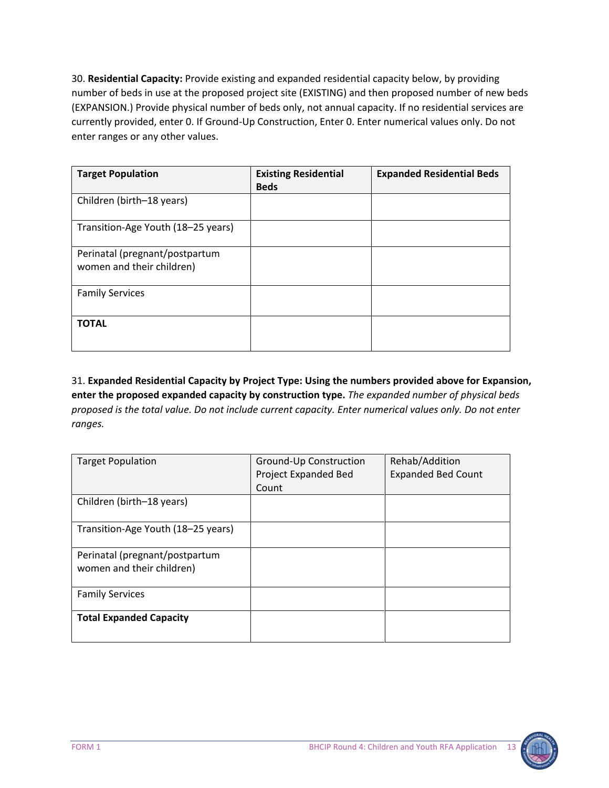30. **Residential Capacity:** Provide existing and expanded residential capacity below, by providing number of beds in use at the proposed project site (EXISTING) and then proposed number of new beds (EXPANSION.) Provide physical number of beds only, not annual capacity. If no residential services are currently provided, enter 0. If Ground-Up Construction, Enter 0. Enter numerical values only. Do not enter ranges or any other values.

| <b>Target Population</b>                                    | <b>Existing Residential</b><br><b>Beds</b> | <b>Expanded Residential Beds</b> |
|-------------------------------------------------------------|--------------------------------------------|----------------------------------|
| Children (birth-18 years)                                   |                                            |                                  |
| Transition-Age Youth (18–25 years)                          |                                            |                                  |
| Perinatal (pregnant/postpartum<br>women and their children) |                                            |                                  |
| <b>Family Services</b>                                      |                                            |                                  |
| <b>TOTAL</b>                                                |                                            |                                  |

31. **Expanded Residential Capacity by Project Type: Using the numbers provided above for Expansion, enter the proposed expanded capacity by construction type.** *The expanded number of physical beds proposed is the total value. Do not include current capacity. Enter numerical values only. Do not enter ranges.* 

| <b>Target Population</b>                                    | Ground-Up Construction<br>Project Expanded Bed | Rehab/Addition<br><b>Expanded Bed Count</b> |
|-------------------------------------------------------------|------------------------------------------------|---------------------------------------------|
|                                                             | Count                                          |                                             |
| Children (birth-18 years)                                   |                                                |                                             |
| Transition-Age Youth (18-25 years)                          |                                                |                                             |
| Perinatal (pregnant/postpartum<br>women and their children) |                                                |                                             |
| <b>Family Services</b>                                      |                                                |                                             |
| <b>Total Expanded Capacity</b>                              |                                                |                                             |

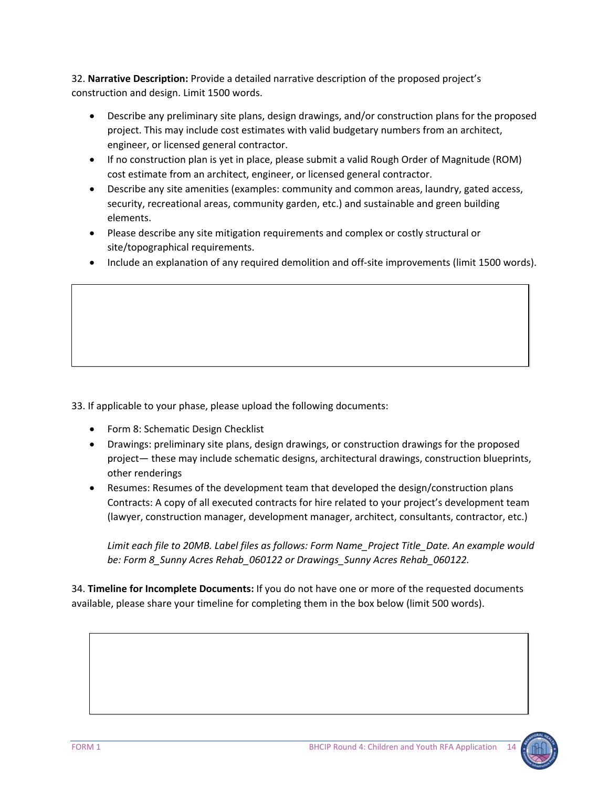32. **Narrative Description:** Provide a detailed narrative description of the proposed project's construction and design. Limit 1500 words.

- Describe any preliminary site plans, design drawings, and/or construction plans for the proposed project. This may include cost estimates with valid budgetary numbers from an architect, engineer, or licensed general contractor.
- If no construction plan is yet in place, please submit a valid Rough Order of Magnitude (ROM) cost estimate from an architect, engineer, or licensed general contractor.
- Describe any site amenities (examples: community and common areas, laundry, gated access, security, recreational areas, community garden, etc.) and sustainable and green building elements.
- Please describe any site mitigation requirements and complex or costly structural or site/topographical requirements.
- Include an explanation of any required demolition and off-site improvements (limit 1500 words).

33. If applicable to your phase, please upload the following documents:

- Form 8: Schematic Design Checklist
- Drawings: preliminary site plans, design drawings, or construction drawings for the proposed project— these may include schematic designs, architectural drawings, construction blueprints, other renderings
- Resumes: Resumes of the development team that developed the design/construction plans Contracts: A copy of all executed contracts for hire related to your project's development team (lawyer, construction manager, development manager, architect, consultants, contractor, etc.)

*Limit each file to 20MB. Label files as follows: Form Name\_Project Title\_Date. An example would be: Form 8\_Sunny Acres Rehab\_060122 or Drawings\_Sunny Acres Rehab\_060122.*

34. **Timeline for Incomplete Documents:** If you do not have one or more of the requested documents available, please share your timeline for completing them in the box below (limit 500 words).

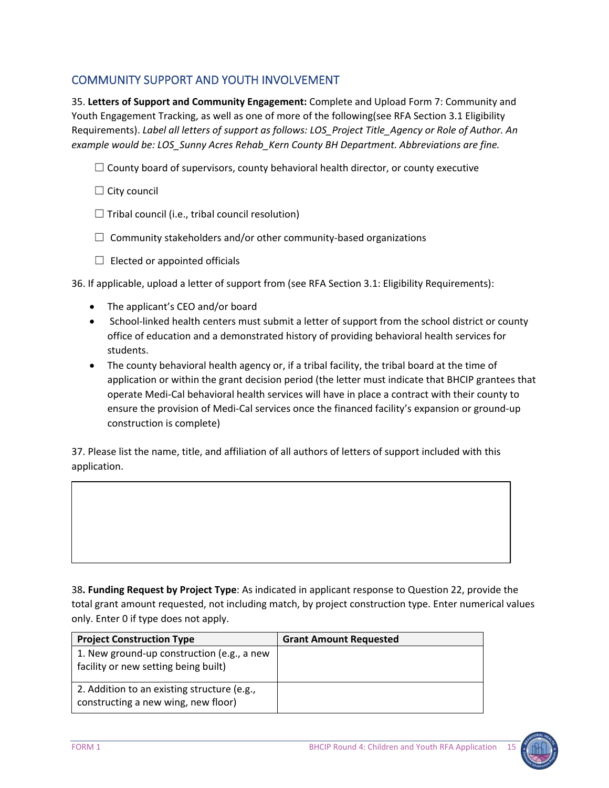# COMMUNITY SUPPORT AND YOUTH INVOLVEMENT

35. **Letters of Support and Community Engagement:** Complete and Upload Form 7: Community and Youth Engagement Tracking, as well as one of more of the following(see RFA Section 3.1 Eligibility Requirements). *Label all letters of support as follows: LOS\_Project Title\_Agency or Role of Author. An example would be: LOS\_Sunny Acres Rehab\_Kern County BH Department. Abbreviations are fine.*

 $\Box$  County board of supervisors, county behavioral health director, or county executive

 $\Box$  City council

 $\Box$  Tribal council (i.e., tribal council resolution)

 $\Box$  Community stakeholders and/or other community-based organizations

 $\Box$  Elected or appointed officials

36. If applicable, upload a letter of support from (see RFA Section 3.1: Eligibility Requirements):

- The applicant's CEO and/or board
- School-linked health centers must submit a letter of support from the school district or county office of education and a demonstrated history of providing behavioral health services for students.
- The county behavioral health agency or, if a tribal facility, the tribal board at the time of application or within the grant decision period (the letter must indicate that BHCIP grantees that operate Medi-Cal behavioral health services will have in place a contract with their county to ensure the provision of Medi-Cal services once the financed facility's expansion or ground-up construction is complete)

37. Please list the name, title, and affiliation of all authors of letters of support included with this application.

38**. Funding Request by Project Type**: As indicated in applicant response to Question 22, provide the total grant amount requested, not including match, by project construction type. Enter numerical values only. Enter 0 if type does not apply.

| <b>Project Construction Type</b>                                                   | <b>Grant Amount Requested</b> |
|------------------------------------------------------------------------------------|-------------------------------|
| 1. New ground-up construction (e.g., a new<br>facility or new setting being built) |                               |
| 2. Addition to an existing structure (e.g.,<br>constructing a new wing, new floor) |                               |

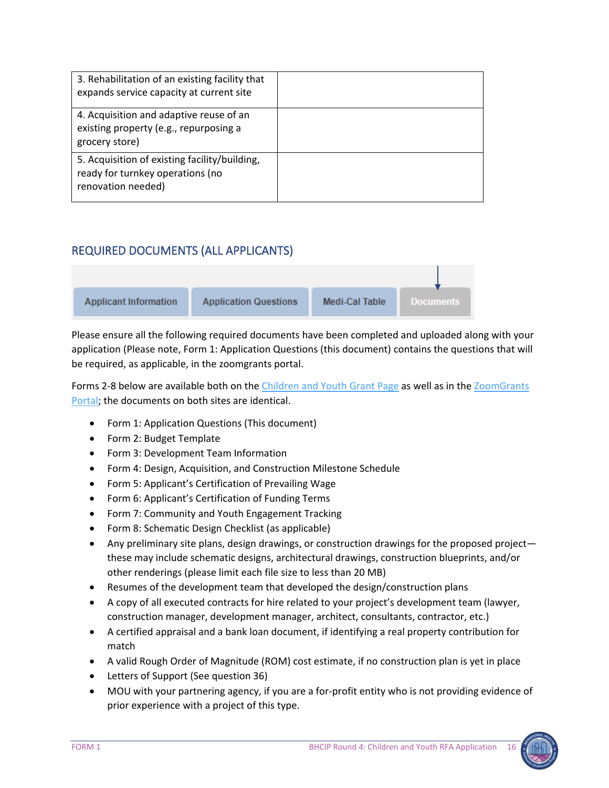| 3. Rehabilitation of an existing facility that<br>expands service capacity at current site              |  |
|---------------------------------------------------------------------------------------------------------|--|
| 4. Acquisition and adaptive reuse of an<br>existing property (e.g., repurposing a<br>grocery store)     |  |
| 5. Acquisition of existing facility/building,<br>ready for turnkey operations (no<br>renovation needed) |  |

# REQUIRED DOCUMENTS (ALL APPLICANTS)



Please ensure all the following required documents have been completed and uploaded along with your application (Please note, Form 1: Application Questions (this document) contains the questions that will be required, as applicable, in the zoomgrants portal.

Forms 2-8 below are available both on the [Children and Youth Grant Page](https://www.infrastructure.buildingcalhhs.com/grantees/cy/) as well as in the ZoomGrants [Portal;](https://www.zoomgrants.com/gprop.asp?donorid=2408&limited=4065) the documents on both sites are identical.

- Form 1: Application Questions (This document)
- Form 2: Budget Template
- Form 3: Development Team Information
- Form 4: Design, Acquisition, and Construction Milestone Schedule
- Form 5: Applicant's Certification of Prevailing Wage
- Form 6: Applicant's Certification of Funding Terms
- Form 7: Community and Youth Engagement Tracking
- Form 8: Schematic Design Checklist (as applicable)
- Any preliminary site plans, design drawings, or construction drawings for the proposed project these may include schematic designs, architectural drawings, construction blueprints, and/or other renderings (please limit each file size to less than 20 MB)
- Resumes of the development team that developed the design/construction plans
- A copy of all executed contracts for hire related to your project's development team (lawyer, construction manager, development manager, architect, consultants, contractor, etc.)
- A certified appraisal and a bank loan document, if identifying a real property contribution for match
- A valid Rough Order of Magnitude (ROM) cost estimate, if no construction plan is yet in place
- Letters of Support (See question 36)
- MOU with your partnering agency, if you are a for-profit entity who is not providing evidence of prior experience with a project of this type.